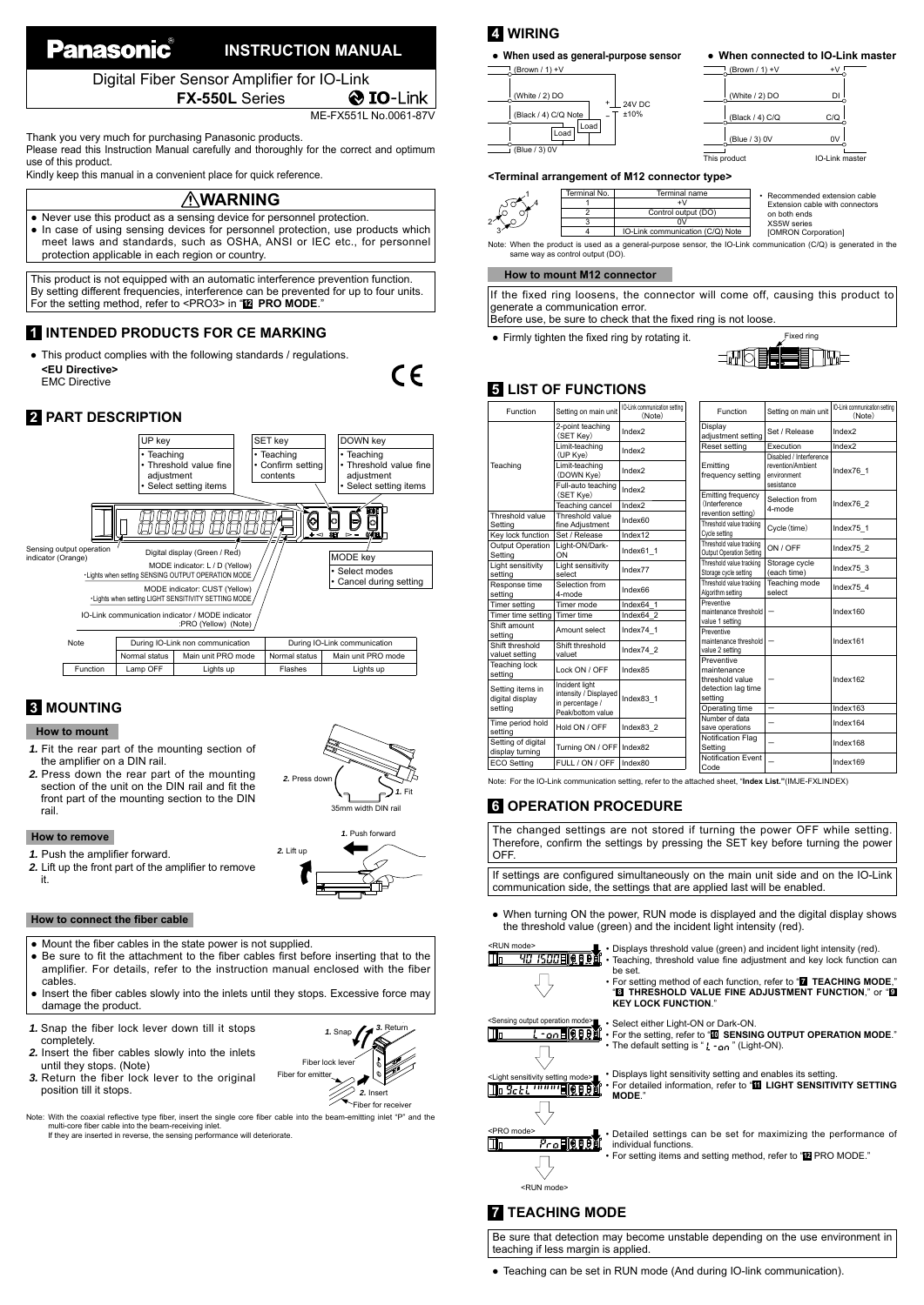# **Panasonic INSTRUCTION MANUAL**

Digital Fiber Sensor Amplifier for IO-Link **FX-550L** Series

**O** IO-Link ME-FX551L No.0061-87V

C E

Thank you very much for purchasing Panasonic products.

Please read this Instruction Manual carefully and thoroughly for the correct and optimum use of this product.

Kindly keep this manual in a convenient place for quick reference.

### **WARNING**

● Never use this product as a sensing device for personnel protection. ● In case of using sensing devices for personnel protection, use products which meet laws and standards, such as OSHA, ANSI or IEC etc., for personnel protection applicable in each region or country.

This product is not equipped with an automatic interference prevention function. By setting different frequencies, interference can be prevented for up to four units. For the setting method, refer to <PRO3> in "**<sup>12</sup> PRO MODE**."

# **1 INTENDED PRODUCTS FOR CE MARKING**

This product complies with the following standards / regulations. **<EU Directive>** EMC Directive

# **2 PART DESCRIPTION**



# **3 MOUNTING**

### **How to mount**

- *1.* Fit the rear part of the mounting section of the amplifier on a DIN rail.
- *2.* Press down the rear part of the mounting section of the unit on the DIN rail and fit the front part of the mounting section to the DIN rail.



### **How to remove**

- 1. Push the amplifier forward.
- 2. Lift up the front part of the amplifier to remove it.



- Mount the fiber cables in the state power is not supplied.
- Be sure to fit the attachment to the fiber cables first before inserting that to the amplifier. For details, refer to the instruction manual enclosed with the fiber cables.
- Insert the fiber cables slowly into the inlets until they stops. Excessive force may damage the product.
- *1.* Snap the fiber lock lever down till it stops completely.
- **2.** Insert the fiber cables slowly into the inlets until they stops. (Note)
- *3.* Return the fiber lock lever to the original position till it stops.
- Note: With the coaxial reflective type fiber, insert the single core fiber cable into the beam-emitting inlet "P" and the multi-core fiber cable into the beam-emitting inlet "P" and the<br>multi-core fiber cable into the beam

# **4 WIRING**

| • When used as general-purpose sensor                                                              |
|----------------------------------------------------------------------------------------------------|
| (Brown / 1) $+V$                                                                                   |
| (White / 2) DO<br><b>24V DC</b><br>(Black / 4) C/Q Note<br>$+10%$<br>Load<br>Load<br>(Blue / 3) 0V |

# ● **When connected to IO-Link master** This product **IO-Link master** (Brown  $/ 1$ ) + $\sqrt{ }$  $Black / 4)$   $C/Q$   $C/Q$  $\blacksquare$  White  $/$  2) DO D  $(e / 3) 0V$  0V

#### **<Terminal arrangement of M12 connector type>**

| Terminal No.                     | Terminal name                    | Recommended extension cable                                                                                     |
|----------------------------------|----------------------------------|-----------------------------------------------------------------------------------------------------------------|
|                                  |                                  | Extension cable with connectors                                                                                 |
|                                  | Control output (DO)              | on both ends                                                                                                    |
|                                  |                                  | XS5W series                                                                                                     |
|                                  | IO-Link communication (C/Q) Note | [OMRON Corporation]                                                                                             |
| same way as control output (DO). |                                  | Note: When the product is used as a general-purpose sensor, the IO-Link communication (C/Q) is generated in the |

#### **How to mount M12 connector**

If the fixed ring loosens, the connector will come off, causing this product to generate a communication error. Before use, be sure to check that the fixed ring is not loose

• Firmly tighten the fixed ring by rotating it. Fixed ring



# **5 LIST OF FUNCTIONS**

| Function                              | Setting on main unit                                       | IO-Link communication setting<br>(Note)                         |                                          | Function                                             | Setting on main unit                                                      | IO-Link communication setting<br>(Note) |
|---------------------------------------|------------------------------------------------------------|-----------------------------------------------------------------|------------------------------------------|------------------------------------------------------|---------------------------------------------------------------------------|-----------------------------------------|
|                                       | 2-point teaching<br>(SET Key)                              | Index2                                                          |                                          | Display<br>adjustment setting                        | Set / Release                                                             | Index2                                  |
| Teaching                              | Limit-teaching                                             | Index2                                                          |                                          | Reset setting                                        | Execution                                                                 | Index2                                  |
|                                       | (UP Kye)<br>Limit-teaching<br>(DOWN Kye)                   | Index2                                                          |                                          | Emitting<br>frequency setting                        | Disabled / Interference<br>revention/Ambient<br>environment<br>sesistance | Index76 1                               |
|                                       | Full-auto teaching<br>(SET Kye)                            | Index2<br><b>Emitting frequency</b><br>(Interference)<br>Index2 |                                          | Selection from                                       | Index76 2                                                                 |                                         |
|                                       | Teaching cancel                                            |                                                                 |                                          | 4-mode                                               |                                                                           |                                         |
| Threshold value<br>Settina            | Threshold value<br>fine Adiustment                         | Index60                                                         |                                          | revention setting)<br>Threshold value tracking       | Cycle (time)                                                              | Index75 1                               |
| Key lock function                     | Set / Release                                              | Index12                                                         |                                          | Cycle setting                                        |                                                                           |                                         |
| Output Operation<br>Setting           | Light-ON/Dark-<br>ON                                       | Index61 1                                                       |                                          | Threshold value tracking<br>Output Operation Setting | ON / OFF                                                                  | Index75 2                               |
| Light sensitivity<br>settina          | Light sensitivity<br>select                                | Index77                                                         |                                          | Threshold value tracking<br>Storage cycle setting    | Storage cycle<br>(each time)                                              | Index75 3                               |
| Response time<br>setting              | Selection from<br>4-mode                                   | Index66                                                         |                                          | Threshold value tracking<br>Algorithm setting        | Teaching mode<br>select                                                   | Index75 4                               |
| Timer setting                         | Timer mode                                                 | Index64 1                                                       |                                          | Preventive                                           |                                                                           |                                         |
| Timer time setting Timer time         |                                                            | Index64 2                                                       |                                          | maintenance threshold                                |                                                                           | Index160                                |
| Shift amount<br>setting               | Amount select                                              | Index74 1                                                       |                                          | value 1 setting<br>Preventive                        |                                                                           |                                         |
| Shift threshold<br>valuet setting     | Shift threshold<br>valuet                                  | Index74 2                                                       | maintenance threshold<br>value 2 setting |                                                      |                                                                           | Index161                                |
| <b>Teaching lock</b><br>setting       | Lock ON / OFF                                              | Index85                                                         |                                          | Preventive<br>maintenance<br>threshold value         |                                                                           | Index162                                |
| Setting items in<br>digital display   | Incident light<br>intensity / Displayed<br>in percentage / | Index83 1                                                       |                                          | detection lag time<br>setting                        |                                                                           |                                         |
| setting                               | Peak/bottom value                                          |                                                                 |                                          | Operating time                                       | -                                                                         | Index163                                |
| Time period hold<br>setting           | Hold ON / OFF                                              | Index83 2                                                       |                                          | Number of data<br>save operations                    |                                                                           | Index164                                |
| Setting of digital<br>display turning | Turning ON / OFF   Index82                                 |                                                                 |                                          | Notification Flag<br>Setting                         |                                                                           | Index168                                |
| <b>ECO</b> Setting                    | FULL / ON / OFF                                            | Index80                                                         |                                          | Notification Event<br>Code                           |                                                                           | Index169                                |
|                                       |                                                            |                                                                 |                                          |                                                      |                                                                           |                                         |

Note: For the IO-Link communication setting, refer to the attached sheet, "**Index List."**(IMJE-FXLINDEX)

# **6 OPERATION PROCEDURE**

The changed settings are not stored if turning the power OFF while setting. Therefore, confirm the settings by pressing the SET key before turning the power **OFF** 

If settings are configured simultaneously on the main unit side and on the IO-Link communication side, the settings that are applied last will be enabled.

• When turning ON the power, RUN mode is displayed and the digital display shows the threshold value (green) and the incident light intensity (red).



• For setting method of each function, refer to **"⊠ TEACHING MODE,"**<br> **"⊠ THRESHOLD VALUE FINE ADJUSTMENT FUNCTION,"** or "<mark>⊠</mark><br> KEY LOCK FUNCTION."

• Displays threshold value (green) and incident light intensity (red).<br>• Teaching, threshold value fine adjustment and key lock function can

• Select either Light-ON or Dark-ON.

 $\mathbf{r}$  • For the setting, refer to "**10** SENSING OUTPUT OPERATION MODE." The default setting is " $l \cdot \rho n$ " (Light-ON)

• Displays light sensitivity setting and enables its setting. • For detailed information, refer to "**II** LIGHT SENSITIVITY SETTING MODE." Do Scal www. eepst

be set.

<PRO mode> <u>- Eleb</u> m  $\overline{\bigtriangledown}$ 

• Detailed settings can be set for maximizing the performance of individual functions.

• For setting items and setting method, refer to "**12** PRO MODE."

<RUN mode>

# **7 TEACHING MODE**

Be sure that detection may become unstable depending on the use environment in teaching if less margin is applied.

• Teaching can be set in RUN mode (And during IO-link communication).



*1.* Snap

Ź

Fiber lock le Fiber for emitter

*2.* Insert

Fiber for rec

*3.* Return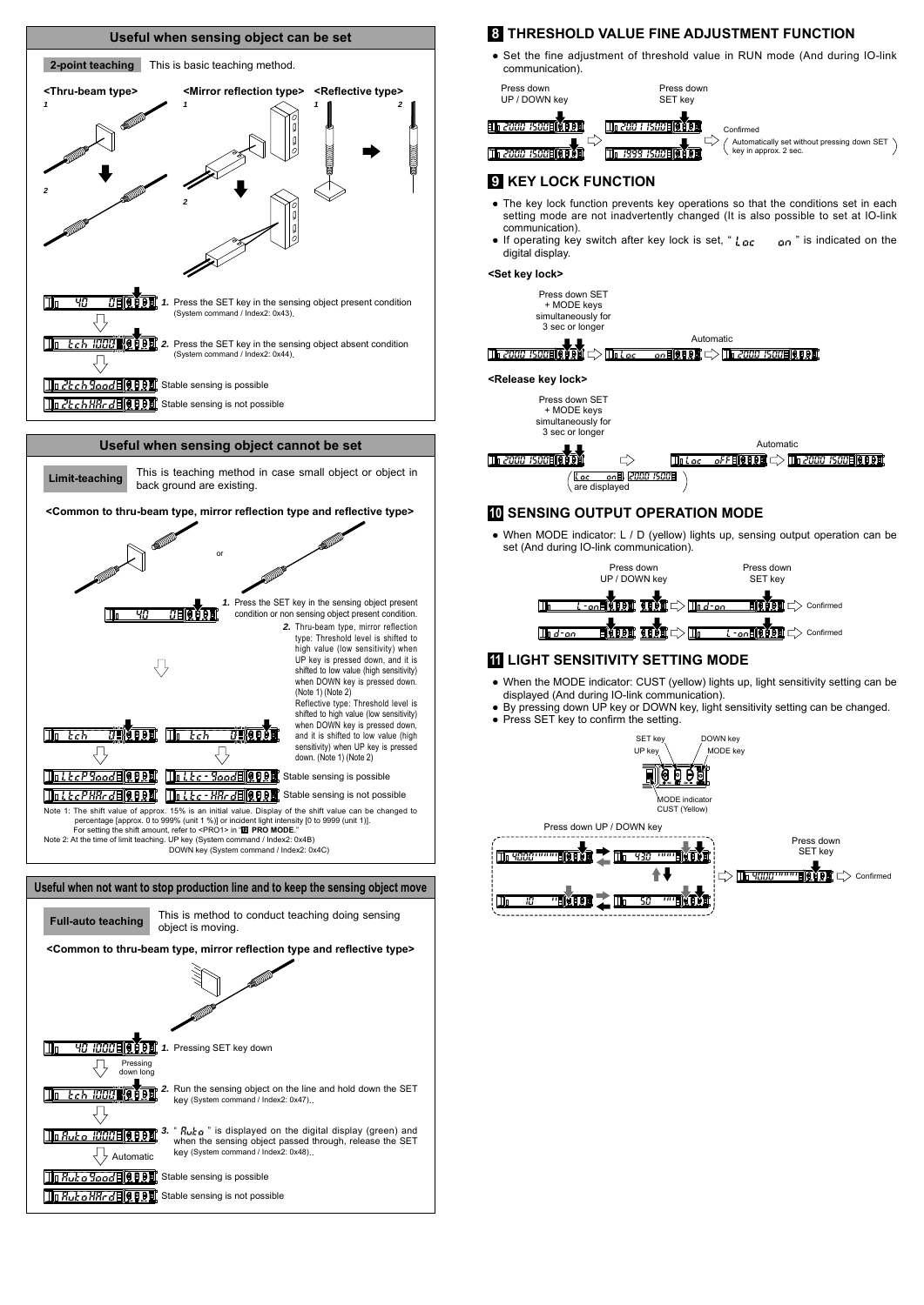

# *1.* Pressing SET key down Pressing down long**2.** Run the sensing object on the line and hold down the SET key (System command / Index2: 0x47).. ₹ 73. **" Autor**" is displayed on the digital display (green) and when the sensing object passed through, release the SET<br>Automatic key (System command / Index2: 0x48).. **To Rut o Rood FO OD Stable sensing is possible To Rut o HRr depart Stable sensing is not possible**

# **8 THRESHOLD VALUE FINE ADJUSTMENT FUNCTION**

• Set the fine adjustment of threshold value in RUN mode (And during IO-link communication).



# **9 KEY LOCK FUNCTION**

- The key lock function prevents key operations so that the conditions set in each setting mode are not inadvertently changed (It is also possible to set at IO-link communication).
- If operating key switch after key lock is set, "  $\frac{1}{2}$  or  $\frac{1}{2}$  is indicated on the digital display.

#### **<Set key lock>**



3 sec or longer Automatic **The 2000 ISODE REPAIR**  $\Rightarrow$ *GFFEIGOOD CD III 2000 ISOOE GOOD*  $\overline{\text{Tr}\, L_{\Omega}}$ <u>l.cc cn</u>副<br>are displayed

**10 SENSING OUTPUT OPERATION MODE** 

● When MODE indicator: L / D (yellow) lights up, sensing output operation can be set (And during IO-link communication).



### **11 LIGHT SENSITIVITY SETTING MODE**

- When the MODE indicator: CUST (yellow) lights up, light sensitivity setting can be displayed (And during IO-link communication).
- By pressing down UP key or DOWN key, light sensitivity setting can be changed.
- $\bullet$  Press SET key to confirm the setting.



Press down UP / DOWN key Press down SET key  $\mathbb{T}_0$  4000  $\overline{\mathbf{u}}$ C> **De YOOO"""""BEV PE** C> Confirmed  $\mathbb{N}$  or  $\mathbb{L}$  $\overline{\mathfrak{c}_B}$ m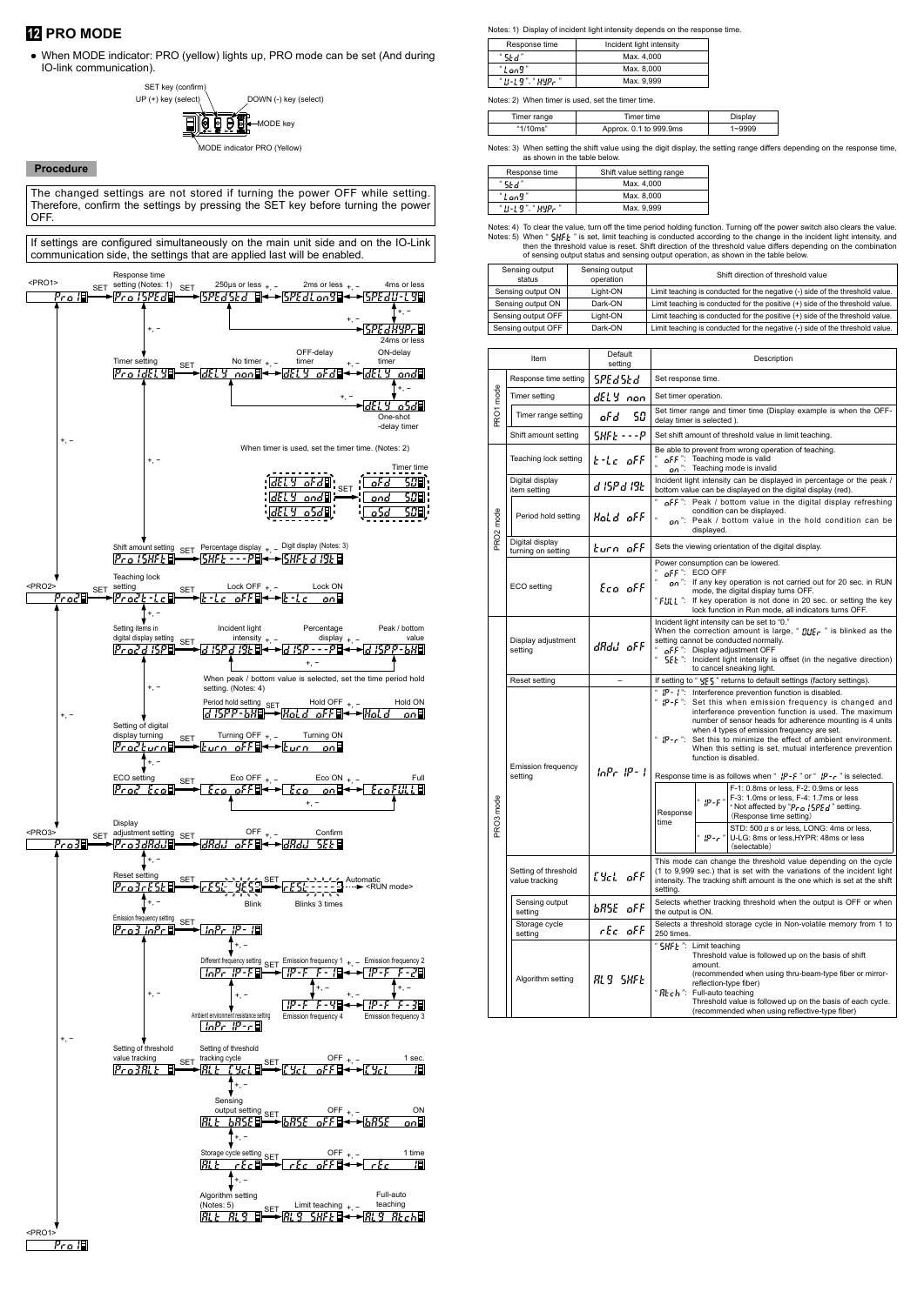# **12 PRO MODE**

● When MODE indicator: PRO (yellow) lights up, PRO mode can be set (And during IO-link communication).



### **Procedure**

The changed settings are not stored if turning the power OFF while setting. Therefore, confirm the settings by pressing the SET key before turning the power OFF.



Notes: 1) Display of incident light intensity depends on the response time.

| Response time     | Incident light intensity |
|-------------------|--------------------------|
| "Skd"             | Max. 4.000               |
| "Lon9"            | Max. 8.000               |
| " U-L9". " HYPr " | Max. 9.999               |

Notes: 2) When timer is used, set the timer time.

| Timer range | Timer time             | Display |
|-------------|------------------------|---------|
| "1/10ms"    | Approx. 0.1 to 999.9ms |         |

Notes: 3) When setting the shift value using the digit display, the setting range differs depending on the response time, as shown in the table below.

| -5887                                                         | Max. 4.000 |
|---------------------------------------------------------------|------------|
| "Lon9"                                                        | Max. 8.000 |
| $^{\circ}$ H - I . 9 $^{\circ}$ . $^{\circ}$ HYP - $^{\circ}$ | Max. 9.999 |

Notes: 4) To clear the value, turn off the time period holding function. Turning off the power switch also clears the value.<br>Notes: 5) When "  $5\frac{1}{16}F$  " is set, limit teaching is conducted according to the change in th

| Sensing output<br>status | Sensing output<br>operation | Shift direction of threshold value                                            |
|--------------------------|-----------------------------|-------------------------------------------------------------------------------|
| Sensing output ON        | Light-ON                    | Limit teaching is conducted for the negative (-) side of the threshold value. |
| Sensing output ON        | Dark-ON                     | Limit teaching is conducted for the positive (+) side of the threshold value. |
| Sensing output OFF       | Light-ON                    | Limit teaching is conducted for the positive (+) side of the threshold value. |
| Sensing output OFF       | Dark-ON                     | Limit teaching is conducted for the negative (-) side of the threshold value. |

| Default<br>Item<br>Description<br>setting |                                        |                 |                                                                                                                                                                                                                                                                                                                                                                                                                                                                                                                                                                                                                                                                                                                                                           |  |
|-------------------------------------------|----------------------------------------|-----------------|-----------------------------------------------------------------------------------------------------------------------------------------------------------------------------------------------------------------------------------------------------------------------------------------------------------------------------------------------------------------------------------------------------------------------------------------------------------------------------------------------------------------------------------------------------------------------------------------------------------------------------------------------------------------------------------------------------------------------------------------------------------|--|
|                                           | Response time setting                  | SPEdSEd         | Set response time.                                                                                                                                                                                                                                                                                                                                                                                                                                                                                                                                                                                                                                                                                                                                        |  |
|                                           | Timer setting                          | dELY non        | Set timer operation.                                                                                                                                                                                                                                                                                                                                                                                                                                                                                                                                                                                                                                                                                                                                      |  |
| <b>PRO1</b> mode                          | Timer range setting                    | 50<br>oFd       | Set timer range and timer time (Display example is when the OFF-<br>delay timer is selected).                                                                                                                                                                                                                                                                                                                                                                                                                                                                                                                                                                                                                                                             |  |
|                                           | Shift amount setting                   | 58FF - - - P    | Set shift amount of threshold value in limit teaching.                                                                                                                                                                                                                                                                                                                                                                                                                                                                                                                                                                                                                                                                                                    |  |
|                                           | Teaching lock setting                  | k-La off        | Be able to prevent from wrong operation of teaching.<br>" $aFF$ ": Teaching mode is valid<br>" $an$ ": Teaching mode is invalid                                                                                                                                                                                                                                                                                                                                                                                                                                                                                                                                                                                                                           |  |
|                                           | Digital display<br>item setting        | a 15P a 19E     | Incident light intensity can be displayed in percentage or the peak /<br>bottom value can be displayed on the digital display (red).                                                                                                                                                                                                                                                                                                                                                                                                                                                                                                                                                                                                                      |  |
| RO <sub>2</sub> mode                      | Period hold setting                    | Hold off        | of F": Peak / bottom value in the digital display refreshing<br>condition can be displayed.<br>on": Peak / bottom value in the hold condition can be<br>displaved.                                                                                                                                                                                                                                                                                                                                                                                                                                                                                                                                                                                        |  |
|                                           | Digital display<br>turning on setting  | burn off        | Sets the viewing orientation of the digital display.                                                                                                                                                                                                                                                                                                                                                                                                                                                                                                                                                                                                                                                                                                      |  |
|                                           | ECO setting                            | Eco ofF         | Power consumption can be lowered.<br>$\alpha$ FF": ECO OFF<br>an": If any key operation is not carried out for 20 sec. in RUN<br>mode, the digital display turns OFF.<br>"FIILL": If key operation is not done in 20 sec. or setting the key<br>lock function in Run mode, all indicators turns OFF.                                                                                                                                                                                                                                                                                                                                                                                                                                                      |  |
|                                           | Display adjustment<br>setting          | dRdJ oFF        | Incident light intensity can be set to "0."<br>When the correction amount is large, " $f_{\text{HJE}}^{\text{H}}$ , " is blinked as the<br>setting cannot be conducted normally.<br>of F ": Display adjustment OFF<br>5EL ": Incident light intensity is offset (in the negative direction)<br>to cancel sneaking light.                                                                                                                                                                                                                                                                                                                                                                                                                                  |  |
|                                           | Reset setting                          | $\equiv$        | If setting to " YES" returns to default settings (factory settings).                                                                                                                                                                                                                                                                                                                                                                                                                                                                                                                                                                                                                                                                                      |  |
| <b>PRO3</b> mode                          | Emission frequency<br>setting          | InPr 1P-1       | - 1P - 1 - 1<br>Interference prevention function is disabled.<br>$"$ $IP-F$ $"$ :<br>Set this when emission frequency is changed and<br>interference prevention function is used. The maximum<br>number of sensor heads for adherence mounting is 4 units<br>when 4 types of emission frequency are set.<br>$"$ $IP - c$ $"$ :<br>Set this to minimize the effect of ambient environment.<br>When this setting is set, mutual interference prevention<br>function is disabled.<br>Response time is as follows when " $IP - F$ " or " $IP - r$ " is selected.<br>F-1: 0.8ms or less, F-2: 0.9ms or less<br>F-3: 1.0ms or less, F-4: 1.7ms or less<br>$"$ $"$ $"$<br>* Not affected by "Pr a 15PEd" setting.<br>Response<br>(Response time setting)<br>time |  |
|                                           |                                        |                 | STD: $500 \mu s$ or less, LONG: 4ms or less,<br>$" P^-r"$<br>U-LG: 8ms or less, HYPR: 48ms or less<br>(selectable)                                                                                                                                                                                                                                                                                                                                                                                                                                                                                                                                                                                                                                        |  |
|                                           | Setting of threshold<br>value tracking | EYel off        | This mode can change the threshold value depending on the cycle<br>(1 to 9,999 sec.) that is set with the variations of the incident light<br>intensity. The tracking shift amount is the one which is set at the shift<br>setting.                                                                                                                                                                                                                                                                                                                                                                                                                                                                                                                       |  |
|                                           | Sensing output<br>setting              | bRSE oFF        | Selects whether tracking threshold when the output is OFF or when<br>the output is ON.                                                                                                                                                                                                                                                                                                                                                                                                                                                                                                                                                                                                                                                                    |  |
|                                           | Storage cycle<br>setting               | rEc oFF         | Selects a threshold storage cycle in Non-volatile memory from 1 to<br>250 times.                                                                                                                                                                                                                                                                                                                                                                                                                                                                                                                                                                                                                                                                          |  |
|                                           | Algorithm setting                      | <b>RLS SHFE</b> | " SHF I: Limit teaching<br>Threshold value is followed up on the basis of shift<br>amount.<br>(recommended when using thru-beam-type fiber or mirror-<br>reflection-type fiber)<br>"Rtch": Full-auto teaching<br>Threshold value is followed up on the basis of each cycle.<br>(recommended when using reflective-type fiber)                                                                                                                                                                                                                                                                                                                                                                                                                             |  |